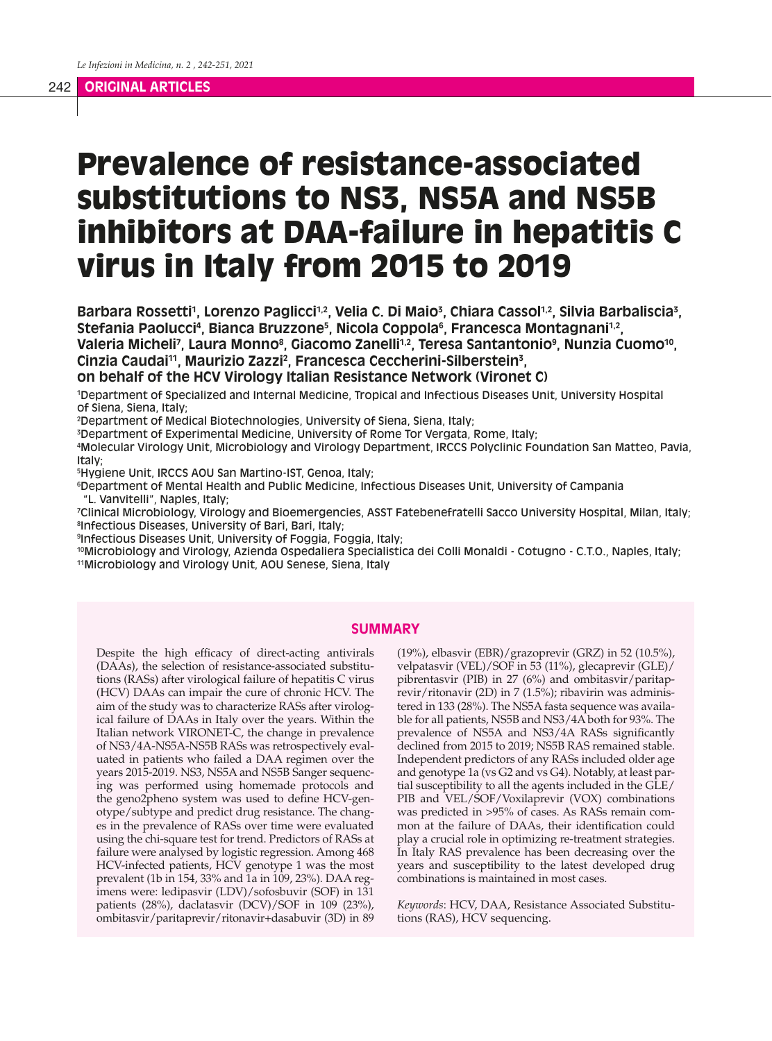# Prevalence of resistance-associated substitutions to NS3, NS5A and NS5B inhibitors at DAA-failure in hepatitis C virus in Italy from 2015 to 2019

Barbara Rossetti<sup>1</sup>, Lorenzo Paglicci<sup>1,2</sup>, Velia C. Di Maio<sup>3</sup>, Chiara Cassol<sup>1,2</sup>, Silvia Barbaliscia<sup>3</sup>, Stefania Paolucci<sup>4</sup>, Bianca Bruzzone<sup>5</sup>, Nicola Coppola<sup>6</sup>, Francesca Montagnani<sup>1,2</sup>, Valeria Micheli<sup>7</sup>, Laura Monno<sup>8</sup>, Giacomo Zanelli<sup>1,2</sup>, Teresa Santantonio<sup>9</sup>, Nunzia Cuomo<sup>10</sup>, **Cinzia Caudai11, Maurizio Zazzi2 , Francesca Ceccherini-Silberstein3 ,** 

**on behalf of the HCV Virology Italian Resistance Network (Vironet C)** 

1 Department of Specialized and Internal Medicine, Tropical and Infectious Diseases Unit, University Hospital of Siena, Siena, Italy;

2 Department of Medical Biotechnologies, University of Siena, Siena, Italy;

3 Department of Experimental Medicine, University of Rome Tor Vergata, Rome, Italy;

4 Molecular Virology Unit, Microbiology and Virology Department, IRCCS Polyclinic Foundation San Matteo, Pavia, Italy;

5 Hygiene Unit, IRCCS AOU San Martino-IST, Genoa, Italy;

6 Department of Mental Health and Public Medicine, Infectious Diseases Unit, University of Campania "L. Vanvitelli", Naples, Italy;

7 Clinical Microbiology, Virology and Bioemergencies, ASST Fatebenefratelli Sacco University Hospital, Milan, Italy; 8 Infectious Diseases, University of Bari, Bari, Italy;

9 Infectious Diseases Unit, University of Foggia, Foggia, Italy;

10Microbiology and Virology, Azienda Ospedaliera Specialistica dei Colli Monaldi - Cotugno - C.T.O., Naples, Italy; 11Microbiology and Virology Unit, AOU Senese, Siena, Italy

## **SUMMARY**

Despite the high efficacy of direct-acting antivirals (DAAs), the selection of resistance-associated substitutions (RASs) after virological failure of hepatitis C virus (HCV) DAAs can impair the cure of chronic HCV. The aim of the study was to characterize RASs after virological failure of DAAs in Italy over the years. Within the Italian network VIRONET-C, the change in prevalence of NS3/4A-NS5A-NS5B RASs was retrospectively evaluated in patients who failed a DAA regimen over the years 2015-2019. NS3, NS5A and NS5B Sanger sequencing was performed using homemade protocols and the geno2pheno system was used to define HCV-genotype/subtype and predict drug resistance. The changes in the prevalence of RASs over time were evaluated using the chi-square test for trend. Predictors of RASs at failure were analysed by logistic regression. Among 468 HCV-infected patients, HCV genotype 1 was the most prevalent (1b in 154, 33% and 1a in 109, 23%). DAA regimens were: ledipasvir (LDV)/sofosbuvir (SOF) in 131 patients (28%), daclatasvir (DCV)/SOF in 109 (23%), ombitasvir/paritaprevir/ritonavir+dasabuvir (3D) in 89

(19%), elbasvir (EBR)/grazoprevir (GRZ) in 52 (10.5%), velpatasvir (VEL)/SOF in 53 (11%), glecaprevir (GLE)/ pibrentasvir (PIB) in 27 (6%) and ombitasvir/paritaprevir/ritonavir (2D) in 7 (1.5%); ribavirin was administered in 133 (28%). The NS5A fasta sequence was available for all patients, NS5B and NS3/4A both for 93%. The prevalence of NS5A and NS3/4A RASs significantly declined from 2015 to 2019; NS5B RAS remained stable. Independent predictors of any RASs included older age and genotype 1a (vs G2 and vs G4). Notably, at least partial susceptibility to all the agents included in the GLE/ PIB and VEL/SOF/Voxilaprevir (VOX) combinations was predicted in >95% of cases. As RASs remain common at the failure of DAAs, their identification could play a crucial role in optimizing re-treatment strategies. In Italy RAS prevalence has been decreasing over the years and susceptibility to the latest developed drug combinations is maintained in most cases.

*Keywords*: HCV, DAA, Resistance Associated Substitutions (RAS), HCV sequencing.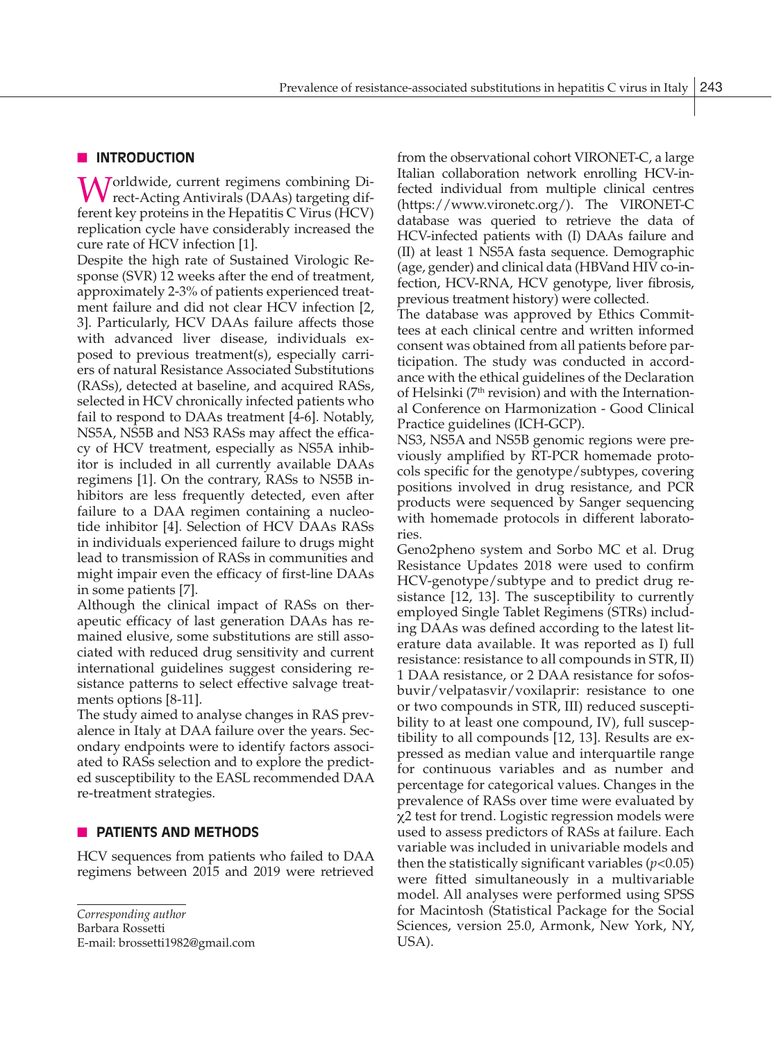# **N** INTRODUCTION

Worldwide, current regimens combining Di-<br>rect-Acting Antivirals (DAAs) targeting different key proteins in the Hepatitis C Virus (HCV) replication cycle have considerably increased the cure rate of HCV infection [1].

Despite the high rate of Sustained Virologic Response (SVR) 12 weeks after the end of treatment, approximately 2-3% of patients experienced treatment failure and did not clear HCV infection [2, 3]. Particularly, HCV DAAs failure affects those with advanced liver disease, individuals exposed to previous treatment(s), especially carriers of natural Resistance Associated Substitutions (RASs), detected at baseline, and acquired RASs, selected in HCV chronically infected patients who fail to respond to DAAs treatment [4-6]. Notably, NS5A, NS5B and NS3 RASs may affect the efficacy of HCV treatment, especially as NS5A inhibitor is included in all currently available DAAs regimens [1]. On the contrary, RASs to NS5B inhibitors are less frequently detected, even after failure to a DAA regimen containing a nucleotide inhibitor [4]. Selection of HCV DAAs RASs in individuals experienced failure to drugs might lead to transmission of RASs in communities and might impair even the efficacy of first-line DAAs in some patients [7].

Although the clinical impact of RASs on therapeutic efficacy of last generation DAAs has remained elusive, some substitutions are still associated with reduced drug sensitivity and current international guidelines suggest considering resistance patterns to select effective salvage treatments options [8-11].

The study aimed to analyse changes in RAS prevalence in Italy at DAA failure over the years. Secondary endpoints were to identify factors associated to RASs selection and to explore the predicted susceptibility to the EASL recommended DAA re-treatment strategies.

## **NO PATIENTS AND METHODS**

HCV sequences from patients who failed to DAA regimens between 2015 and 2019 were retrieved

*Corresponding author* Barbara Rossetti E-mail: brossetti1982@gmail.com from the observational cohort VIRONET-C, a large Italian collaboration network enrolling HCV-infected individual from multiple clinical centres (https://www.vironetc.org/). The VIRONET-C database was queried to retrieve the data of HCV-infected patients with (I) DAAs failure and (II) at least 1 NS5A fasta sequence. Demographic (age, gender) and clinical data (HBVand HIV co-infection, HCV-RNA, HCV genotype, liver fibrosis, previous treatment history) were collected.

The database was approved by Ethics Committees at each clinical centre and written informed consent was obtained from all patients before participation. The study was conducted in accordance with the ethical guidelines of the Declaration of Helsinki ( $7<sup>th</sup>$  revision) and with the International Conference on Harmonization - Good Clinical Practice guidelines (ICH-GCP).

NS3, NS5A and NS5B genomic regions were previously amplified by RT-PCR homemade protocols specific for the genotype/subtypes, covering positions involved in drug resistance, and PCR products were sequenced by Sanger sequencing with homemade protocols in different laboratories.

Geno2pheno system and Sorbo MC et al. Drug Resistance Updates 2018 were used to confirm HCV-genotype/subtype and to predict drug resistance [12, 13]. The susceptibility to currently employed Single Tablet Regimens (STRs) including DAAs was defined according to the latest literature data available. It was reported as I) full resistance: resistance to all compounds in STR, II) 1 DAA resistance, or 2 DAA resistance for sofosbuvir/velpatasvir/voxilaprir: resistance to one or two compounds in STR, III) reduced susceptibility to at least one compound, IV), full susceptibility to all compounds [12, 13]. Results are expressed as median value and interquartile range for continuous variables and as number and percentage for categorical values. Changes in the prevalence of RASs over time were evaluated by χ2 test for trend. Logistic regression models were used to assess predictors of RASs at failure. Each variable was included in univariable models and then the statistically significant variables  $(p<0.05)$ were fitted simultaneously in a multivariable model. All analyses were performed using SPSS for Macintosh (Statistical Package for the Social Sciences, version 25.0, Armonk, New York, NY, USA).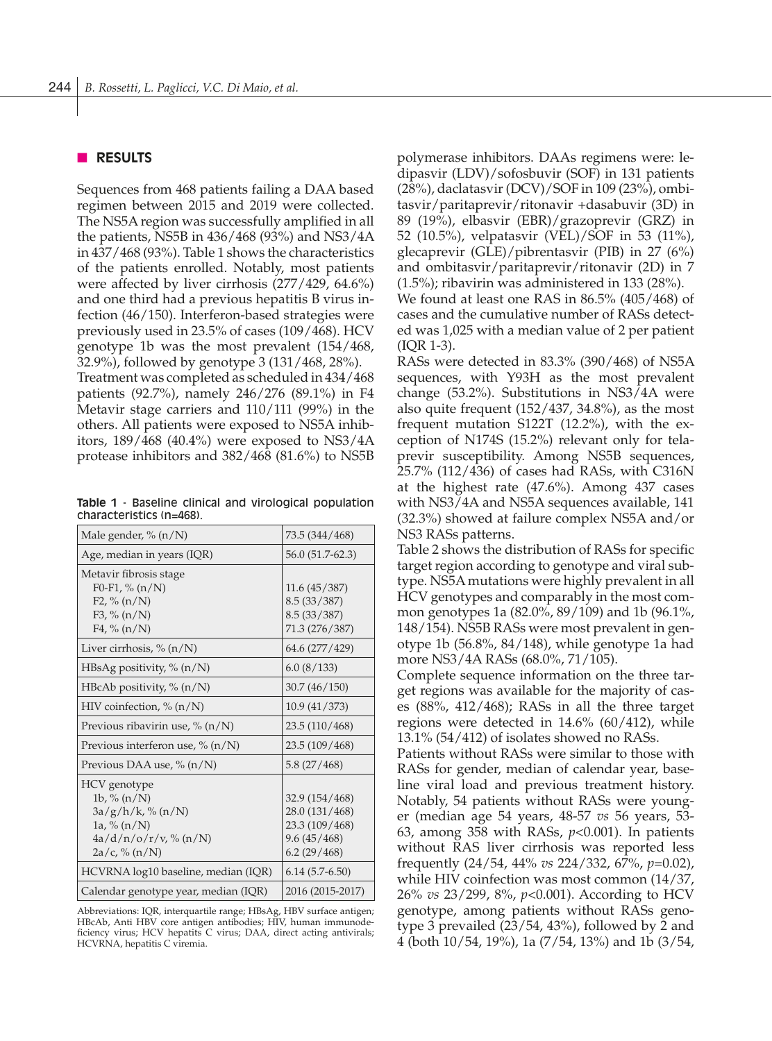## **n RESULTS**

Sequences from 468 patients failing a DAA based regimen between 2015 and 2019 were collected. The NS5A region was successfully amplified in all the patients, NS5B in 436/468 (93%) and NS3/4A in 437/468 (93%). Table 1 shows the characteristics of the patients enrolled. Notably, most patients were affected by liver cirrhosis (277/429, 64.6%) and one third had a previous hepatitis B virus infection (46/150). Interferon-based strategies were previously used in 23.5% of cases (109/468). HCV genotype 1b was the most prevalent (154/468, 32.9%), followed by genotype 3 (131/468, 28%).

Treatment was completed as scheduled in 434/468 patients (92.7%), namely 246/276 (89.1%) in F4 Metavir stage carriers and 110/111 (99%) in the others. All patients were exposed to NS5A inhibitors, 189/468 (40.4%) were exposed to NS3/4A protease inhibitors and 382/468 (81.6%) to NS5B

**Table 1** - Baseline clinical and virological population characteristics (n=468).

| Male gender, $\%$ (n/N)                                                                                                    | 73.5 (344/468)                                                                   |
|----------------------------------------------------------------------------------------------------------------------------|----------------------------------------------------------------------------------|
| Age, median in years (IQR)                                                                                                 | 56.0 (51.7-62.3)                                                                 |
| Metavir fibrosis stage<br>F <sub>0</sub> -F <sub>1</sub> , % $(n/N)$<br>F2, $\%$ (n/N)<br>F3, $\%$ (n/N)<br>F4, $\%$ (n/N) | 11.6(45/387)<br>8.5(33/387)<br>8.5(33/387)<br>71.3 (276/387)                     |
| Liver cirrhosis, % (n/N)                                                                                                   | 64.6 (277/429)                                                                   |
| HBsAg positivity, $% (n/N)$                                                                                                | 6.0(8/133)                                                                       |
| HBcAb positivity, $\%$ (n/N)                                                                                               | 30.7(46/150)                                                                     |
| HIV coinfection, $\%$ (n/N)                                                                                                | 10.9(41/373)                                                                     |
| Previous ribavirin use, $\%$ (n/N)                                                                                         | 23.5(110/468)                                                                    |
| Previous interferon use, $\%$ (n/N)                                                                                        | 23.5 (109/468)                                                                   |
| Previous DAA use, $\%$ (n/N)                                                                                               | 5.8(27/468)                                                                      |
| HCV genotype<br>1b, % $(n/N)$<br>$3a/g/h/k$ , % (n/N)<br>$1a, \% (n/N)$<br>4a/d/n/o/r/v, % (n/N)<br>$2a/c$ , % (n/N)       | 32.9 (154/468)<br>28.0 (131/468)<br>23.3 (109/468)<br>9.6(45/468)<br>6.2(29/468) |
| HCVRNA log10 baseline, median (IQR)                                                                                        | $6.14(5.7-6.50)$                                                                 |
| Calendar genotype year, median (IQR)                                                                                       | 2016 (2015-2017)                                                                 |

Abbreviations: IQR, interquartile range; HBsAg, HBV surface antigen; HBcAb, Anti HBV core antigen antibodies; HIV, human immunodeficiency virus; HCV hepatits C virus; DAA, direct acting antivirals; HCVRNA, hepatitis C viremia.

polymerase inhibitors. DAAs regimens were: ledipasvir (LDV)/sofosbuvir (SOF) in 131 patients (28%), daclatasvir (DCV)/SOF in 109 (23%), ombitasvir/paritaprevir/ritonavir +dasabuvir (3D) in 89 (19%), elbasvir (EBR)/grazoprevir (GRZ) in 52 (10.5%), velpatasvir (VEL)/SOF in 53 (11%), glecaprevir (GLE)/pibrentasvir (PIB) in 27 (6%) and ombitasvir/paritaprevir/ritonavir (2D) in 7 (1.5%); ribavirin was administered in 133 (28%).

We found at least one RAS in 86.5% (405/468) of cases and the cumulative number of RASs detected was 1,025 with a median value of 2 per patient (IQR 1-3).

RASs were detected in 83.3% (390/468) of NS5A sequences, with Y93H as the most prevalent change (53.2%). Substitutions in NS3/4A were also quite frequent (152/437, 34.8%), as the most frequent mutation S122T (12.2%), with the exception of N174S (15.2%) relevant only for telaprevir susceptibility. Among NS5B sequences, 25.7% (112/436) of cases had RASs, with C316N at the highest rate (47.6%). Among 437 cases with NS3/4A and NS5A sequences available, 141 (32.3%) showed at failure complex NS5A and/or NS3 RASs patterns.

Table 2 shows the distribution of RASs for specific target region according to genotype and viral subtype. NS5A mutations were highly prevalent in all HCV genotypes and comparably in the most common genotypes 1a (82.0%, 89/109) and 1b (96.1%, 148/154). NS5B RASs were most prevalent in genotype 1b (56.8%, 84/148), while genotype 1a had more NS3/4A RASs (68.0%, 71/105).

Complete sequence information on the three target regions was available for the majority of cases (88%, 412/468); RASs in all the three target regions were detected in 14.6% (60/412), while 13.1% (54/412) of isolates showed no RASs.

Patients without RASs were similar to those with RASs for gender, median of calendar year, baseline viral load and previous treatment history. Notably, 54 patients without RASs were younger (median age 54 years, 48-57 *vs* 56 years, 53- 63, among 358 with RASs, *p*<0.001). In patients without RAS liver cirrhosis was reported less frequently (24/54, 44% *vs* 224/332, 67%, *p*=0.02), while HIV coinfection was most common (14/37, 26% *vs* 23/299, 8%, *p*<0.001). According to HCV genotype, among patients without RASs genotype 3 prevailed (23/54, 43%), followed by 2 and 4 (both 10/54, 19%), 1a (7/54, 13%) and 1b (3/54,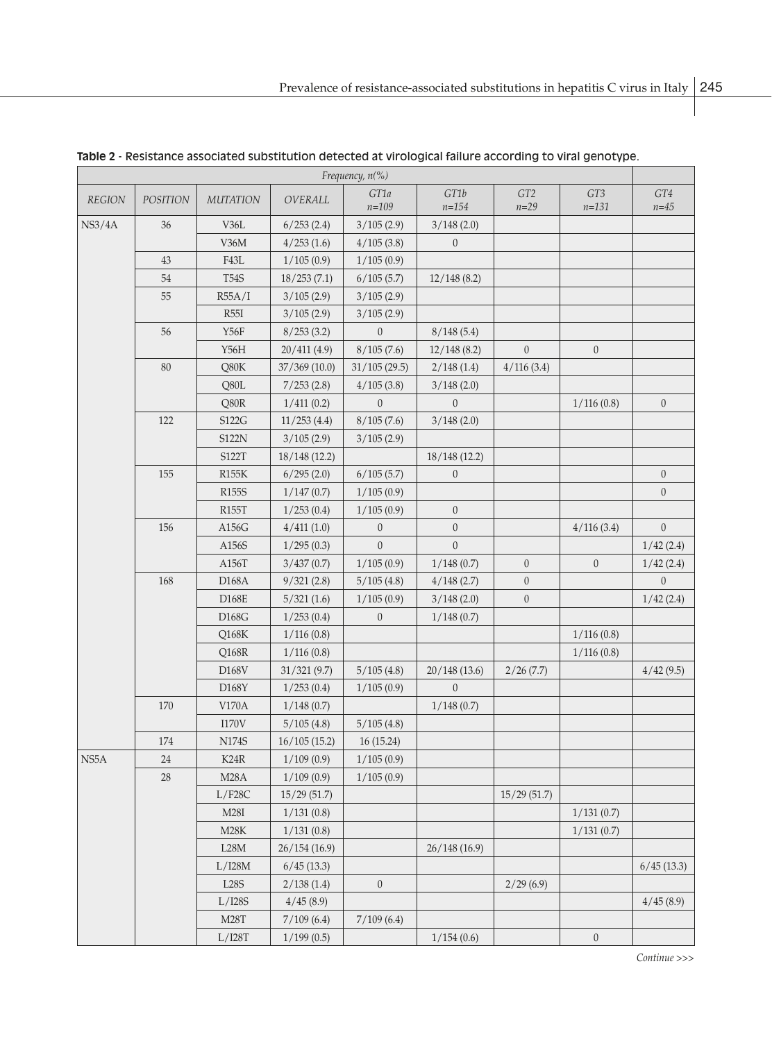| Frequency, n(%) |                 |                    |               |                   |                   |                             |                              |                  |
|-----------------|-----------------|--------------------|---------------|-------------------|-------------------|-----------------------------|------------------------------|------------------|
| <b>REGION</b>   | <b>POSITION</b> | <b>MUTATION</b>    | OVERALL       | GT1a<br>$n = 109$ | GT1b<br>$n = 154$ | GT <sub>2</sub><br>$n = 29$ | GT <sub>3</sub><br>$n = 131$ | GT4<br>$n = 45$  |
| NS3/4A          | 36              | V36L               | 6/253(2.4)    | 3/105(2.9)        | 3/148(2.0)        |                             |                              |                  |
|                 |                 | V36M               | 4/253(1.6)    | 4/105(3.8)        | $\theta$          |                             |                              |                  |
|                 | 43              | ${\rm F43L}$       | 1/105(0.9)    | 1/105(0.9)        |                   |                             |                              |                  |
|                 | 54              | <b>T54S</b>        | 18/253(7.1)   | 6/105(5.7)        | 12/148(8.2)       |                             |                              |                  |
|                 | 55              | R55A/I             | 3/105(2.9)    | 3/105(2.9)        |                   |                             |                              |                  |
|                 |                 | R55I               | 3/105(2.9)    | 3/105(2.9)        |                   |                             |                              |                  |
|                 | 56              | Y56F               | 8/253(3.2)    | $\theta$          | 8/148(5.4)        |                             |                              |                  |
|                 |                 | Y56H               | 20/411(4.9)   | 8/105(7.6)        | 12/148(8.2)       | $\theta$                    | $\mathbf{0}$                 |                  |
|                 | 80              | Q80K               | 37/369(10.0)  | 31/105(29.5)      | 2/148(1.4)        | 4/116(3.4)                  |                              |                  |
|                 |                 | Q80L               | 7/253(2.8)    | 4/105(3.8)        | 3/148(2.0)        |                             |                              |                  |
|                 |                 | Q80R               | 1/411(0.2)    | $\theta$          | $\theta$          |                             | 1/116(0.8)                   | $\theta$         |
|                 | 122             | S122G              | 11/253(4.4)   | 8/105(7.6)        | 3/148(2.0)        |                             |                              |                  |
|                 |                 | <b>S122N</b>       | 3/105(2.9)    | 3/105(2.9)        |                   |                             |                              |                  |
|                 |                 | S122T              | 18/148 (12.2) |                   | 18/148 (12.2)     |                             |                              |                  |
|                 | 155             | R155K              | 6/295(2.0)    | 6/105(5.7)        | $\theta$          |                             |                              | $\theta$         |
|                 |                 | R <sub>155</sub> S | 1/147(0.7)    | 1/105(0.9)        |                   |                             |                              | $\theta$         |
|                 |                 | R155T              | 1/253(0.4)    | 1/105(0.9)        | $\theta$          |                             |                              |                  |
|                 | 156             | A156G              | 4/411(1.0)    | $\theta$          | $\theta$          |                             | 4/116(3.4)                   | $\mathbf{0}$     |
|                 |                 | A156S              | 1/295(0.3)    | $\overline{0}$    | $\Omega$          |                             |                              | 1/42(2.4)        |
|                 |                 | A156T              | 3/437(0.7)    | 1/105(0.9)        | 1/148(0.7)        | $\theta$                    | $\mathbf{0}$                 | 1/42(2.4)        |
|                 | 168             | D168A              | 9/321(2.8)    | 5/105(4.8)        | 4/148(2.7)        | $\boldsymbol{0}$            |                              | $\boldsymbol{0}$ |
|                 |                 | D168E              | 5/321(1.6)    | 1/105(0.9)        | 3/148(2.0)        | $\boldsymbol{0}$            |                              | 1/42(2.4)        |
|                 |                 | D168G              | 1/253(0.4)    | $\theta$          | 1/148(0.7)        |                             |                              |                  |
|                 |                 | Q168K              | 1/116(0.8)    |                   |                   |                             | 1/116(0.8)                   |                  |
|                 |                 | Q168R              | 1/116(0.8)    |                   |                   |                             | 1/116(0.8)                   |                  |
|                 |                 | D168V              | 31/321(9.7)   | 5/105(4.8)        | 20/148(13.6)      | 2/26(7.7)                   |                              | 4/42(9.5)        |
|                 |                 | D168Y              | 1/253(0.4)    | 1/105(0.9)        | $\theta$          |                             |                              |                  |
|                 | 170             | V170A              | 1/148(0.7)    |                   | 1/148(0.7)        |                             |                              |                  |
|                 |                 | <b>I170V</b>       | 5/105(4.8)    | 5/105(4.8)        |                   |                             |                              |                  |
|                 | 174             | N174S              | 16/105(15.2)  | 16 (15.24)        |                   |                             |                              |                  |
| NS5A            | 24              | K24R               | 1/109(0.9)    | 1/105(0.9)        |                   |                             |                              |                  |
|                 | 28              | M28A               | 1/109(0.9)    | 1/105(0.9)        |                   |                             |                              |                  |
|                 |                 | L/F28C             | 15/29(51.7)   |                   |                   | 15/29(51.7)                 |                              |                  |
|                 |                 | M28I               | 1/131(0.8)    |                   |                   |                             | 1/131(0.7)                   |                  |
|                 |                 | M28K               | 1/131(0.8)    |                   |                   |                             | 1/131(0.7)                   |                  |
|                 |                 | L28M               | 26/154(16.9)  |                   | 26/148(16.9)      |                             |                              |                  |
|                 |                 | $L/$ I28M          | 6/45(13.3)    |                   |                   |                             |                              | 6/45(13.3)       |
|                 |                 | L28S               | 2/138(1.4)    | $\boldsymbol{0}$  |                   | 2/29(6.9)                   |                              |                  |
|                 |                 | L/I28S             | 4/45(8.9)     |                   |                   |                             |                              | 4/45(8.9)        |
|                 |                 | <b>M28T</b>        | 7/109(6.4)    | 7/109(6.4)        |                   |                             |                              |                  |
|                 |                 | $L/$ I28T          | 1/199(0.5)    |                   | 1/154(0.6)        |                             | $\mathbf{0}$                 |                  |

**Table 2** - Resistance associated substitution detected at virological failure according to viral genotype.

*Continue >>>*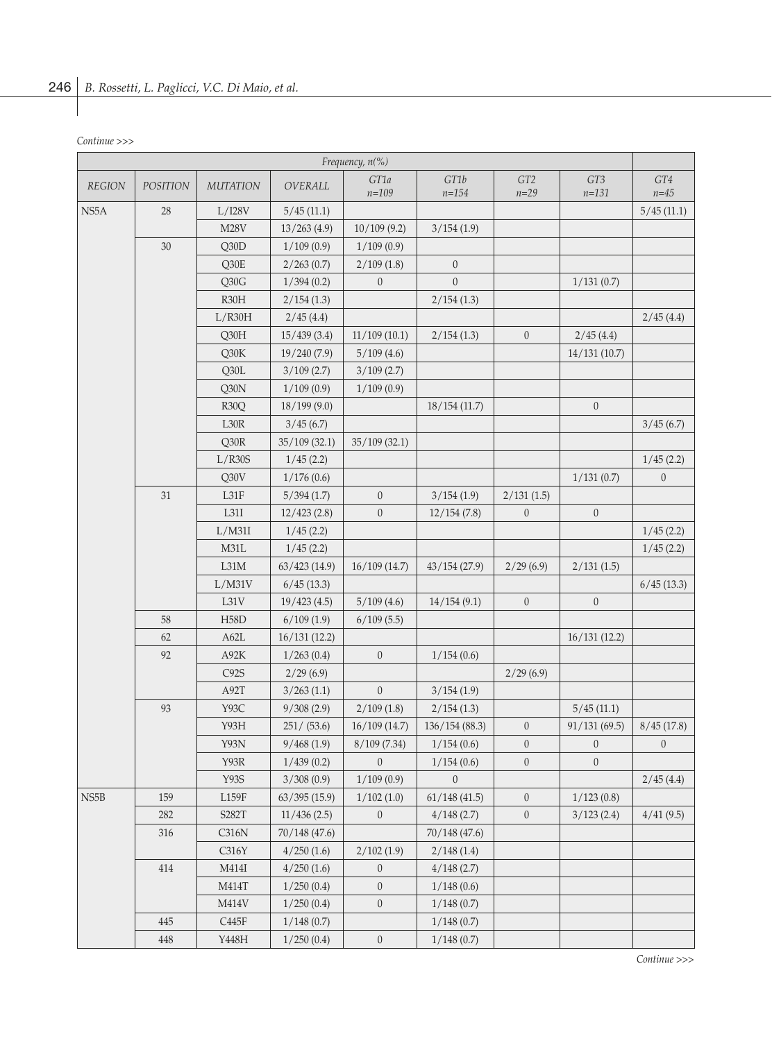| Continue >>> |  |
|--------------|--|
|--------------|--|

| GT1b<br>GT1a<br>GT <sub>2</sub><br>GT3<br>GT4<br><b>REGION</b><br><b>POSITION</b><br><b>MUTATION</b><br>OVERALL<br>$n = 109$<br>$n = 154$<br>$n = 29$<br>$n = 131$<br>$n = 45$<br>NS5A<br>28<br>L/I28V<br>5/45(11.1)<br>5/45(11.1)<br><b>M28V</b><br>13/263(4.9)<br>10/109(9.2)<br>3/154(1.9)<br>30<br>Q30D<br>1/109(0.9)<br>1/109(0.9)<br>Q30E<br>2/263(0.7)<br>2/109(1.8)<br>$\overline{0}$<br>$\mathbf{0}$<br>$\overline{0}$<br>Q30G<br>1/394(0.2)<br>1/131(0.7)<br>R30H<br>2/154(1.3)<br>2/154(1.3)<br>L/R30H<br>2/45(4.4)<br>2/45(4.4)<br>Q30H<br>15/439(3.4)<br>11/109(10.1)<br>$\boldsymbol{0}$<br>2/154(1.3)<br>2/45(4.4)<br>Q30K<br>19/240(7.9)<br>5/109(4.6)<br>14/131(10.7)<br>Q30L<br>3/109(2.7)<br>3/109(2.7)<br>Q30N<br>1/109(0.9)<br>1/109(0.9) |
|----------------------------------------------------------------------------------------------------------------------------------------------------------------------------------------------------------------------------------------------------------------------------------------------------------------------------------------------------------------------------------------------------------------------------------------------------------------------------------------------------------------------------------------------------------------------------------------------------------------------------------------------------------------------------------------------------------------------------------------------------------------|
|                                                                                                                                                                                                                                                                                                                                                                                                                                                                                                                                                                                                                                                                                                                                                                |
|                                                                                                                                                                                                                                                                                                                                                                                                                                                                                                                                                                                                                                                                                                                                                                |
|                                                                                                                                                                                                                                                                                                                                                                                                                                                                                                                                                                                                                                                                                                                                                                |
|                                                                                                                                                                                                                                                                                                                                                                                                                                                                                                                                                                                                                                                                                                                                                                |
|                                                                                                                                                                                                                                                                                                                                                                                                                                                                                                                                                                                                                                                                                                                                                                |
|                                                                                                                                                                                                                                                                                                                                                                                                                                                                                                                                                                                                                                                                                                                                                                |
|                                                                                                                                                                                                                                                                                                                                                                                                                                                                                                                                                                                                                                                                                                                                                                |
|                                                                                                                                                                                                                                                                                                                                                                                                                                                                                                                                                                                                                                                                                                                                                                |
|                                                                                                                                                                                                                                                                                                                                                                                                                                                                                                                                                                                                                                                                                                                                                                |
|                                                                                                                                                                                                                                                                                                                                                                                                                                                                                                                                                                                                                                                                                                                                                                |
|                                                                                                                                                                                                                                                                                                                                                                                                                                                                                                                                                                                                                                                                                                                                                                |
|                                                                                                                                                                                                                                                                                                                                                                                                                                                                                                                                                                                                                                                                                                                                                                |
| $\theta$<br>R <sub>30</sub> Q<br>18/199(9.0)<br>18/154(11.7)                                                                                                                                                                                                                                                                                                                                                                                                                                                                                                                                                                                                                                                                                                   |
| L30R<br>3/45(6.7)<br>3/45(6.7)                                                                                                                                                                                                                                                                                                                                                                                                                                                                                                                                                                                                                                                                                                                                 |
| Q30R<br>35/109(32.1)<br>35/109(32.1)                                                                                                                                                                                                                                                                                                                                                                                                                                                                                                                                                                                                                                                                                                                           |
| L/R30S<br>1/45(2.2)<br>1/45(2.2)                                                                                                                                                                                                                                                                                                                                                                                                                                                                                                                                                                                                                                                                                                                               |
| Q30V<br>1/176(0.6)<br>1/131(0.7)<br>$\boldsymbol{0}$                                                                                                                                                                                                                                                                                                                                                                                                                                                                                                                                                                                                                                                                                                           |
| $31\,$<br>$\mathbf{0}$<br>L31F<br>5/394(1.7)<br>2/131(1.5)<br>3/154(1.9)                                                                                                                                                                                                                                                                                                                                                                                                                                                                                                                                                                                                                                                                                       |
| $\mathbf{0}$<br>L31I<br>12/423(2.8)<br>$\boldsymbol{0}$<br>$\theta$<br>12/154(7.8)                                                                                                                                                                                                                                                                                                                                                                                                                                                                                                                                                                                                                                                                             |
| L/M31I<br>1/45(2.2)<br>1/45(2.2)                                                                                                                                                                                                                                                                                                                                                                                                                                                                                                                                                                                                                                                                                                                               |
| M31L<br>1/45(2.2)<br>1/45(2.2)                                                                                                                                                                                                                                                                                                                                                                                                                                                                                                                                                                                                                                                                                                                                 |
| L31M<br>63/423(14.9)<br>16/109(14.7)<br>43/154(27.9)<br>2/29(6.9)<br>2/131(1.5)                                                                                                                                                                                                                                                                                                                                                                                                                                                                                                                                                                                                                                                                                |
| 6/45(13.3)<br>L/M31V<br>6/45(13.3)                                                                                                                                                                                                                                                                                                                                                                                                                                                                                                                                                                                                                                                                                                                             |
| L31V<br>5/109(4.6)<br>$\theta$<br>$\mathbf{0}$<br>19/423(4.5)<br>14/154(9.1)                                                                                                                                                                                                                                                                                                                                                                                                                                                                                                                                                                                                                                                                                   |
| 58<br><b>H58D</b><br>6/109(1.9)<br>6/109(5.5)                                                                                                                                                                                                                                                                                                                                                                                                                                                                                                                                                                                                                                                                                                                  |
| 62<br>A62L<br>16/131(12.2)<br>16/131(12.2)                                                                                                                                                                                                                                                                                                                                                                                                                                                                                                                                                                                                                                                                                                                     |
| 92<br>$\mathbf{0}$<br>A92K<br>1/263(0.4)<br>1/154(0.6)                                                                                                                                                                                                                                                                                                                                                                                                                                                                                                                                                                                                                                                                                                         |
| C92S<br>2/29(6.9)<br>2/29(6.9)                                                                                                                                                                                                                                                                                                                                                                                                                                                                                                                                                                                                                                                                                                                                 |
| A92T<br>$\overline{0}$<br>3/263(1.1)<br>3/154(1.9)                                                                                                                                                                                                                                                                                                                                                                                                                                                                                                                                                                                                                                                                                                             |
| 93<br>2/109(1.8)<br>Y93C<br>9/308(2.9)<br>2/154(1.3)<br>5/45(11.1)                                                                                                                                                                                                                                                                                                                                                                                                                                                                                                                                                                                                                                                                                             |
| Y93H<br>251 / (53.6)<br>16/109(14.7)<br>136/154 (88.3)<br>91/131(69.5)<br>8/45(17.8)<br>$\boldsymbol{0}$                                                                                                                                                                                                                                                                                                                                                                                                                                                                                                                                                                                                                                                       |
| Y93N<br>$\boldsymbol{0}$<br>8/109(7.34)<br>1/154(0.6)<br>$\boldsymbol{0}$<br>$\boldsymbol{0}$<br>9/468(1.9)                                                                                                                                                                                                                                                                                                                                                                                                                                                                                                                                                                                                                                                    |
| Y93R<br>1/439(0.2)<br>$\boldsymbol{0}$<br>$\mathbf{0}$<br>$\mathbf{0}$<br>1/154(0.6)                                                                                                                                                                                                                                                                                                                                                                                                                                                                                                                                                                                                                                                                           |
| Y93S<br>3/308(0.9)<br>1/109(0.9)<br>2/45(4.4)<br>$\mathbf{0}$                                                                                                                                                                                                                                                                                                                                                                                                                                                                                                                                                                                                                                                                                                  |
| NS <sub>5</sub> B<br>159<br>L159F<br>1/102(1.0)<br>61/148(41.5)<br>$\theta$<br>63/395(15.9)<br>1/123(0.8)                                                                                                                                                                                                                                                                                                                                                                                                                                                                                                                                                                                                                                                      |
| 282<br>S282T<br>$\overline{0}$<br>$\theta$<br>11/436(2.5)<br>4/148(2.7)<br>3/123(2.4)<br>4/41(9.5)                                                                                                                                                                                                                                                                                                                                                                                                                                                                                                                                                                                                                                                             |
| 316<br>70/148 (47.6)<br>70/148 (47.6)<br>C316N                                                                                                                                                                                                                                                                                                                                                                                                                                                                                                                                                                                                                                                                                                                 |
| C316Y<br>4/250(1.6)<br>2/102(1.9)<br>2/148(1.4)                                                                                                                                                                                                                                                                                                                                                                                                                                                                                                                                                                                                                                                                                                                |
| 414<br>$\boldsymbol{0}$<br>M414I<br>4/250(1.6)<br>4/148(2.7)                                                                                                                                                                                                                                                                                                                                                                                                                                                                                                                                                                                                                                                                                                   |
| $\boldsymbol{0}$<br>M414T<br>1/250(0.4)<br>1/148(0.6)                                                                                                                                                                                                                                                                                                                                                                                                                                                                                                                                                                                                                                                                                                          |
| $\boldsymbol{0}$<br>M414V<br>1/250(0.4)<br>1/148(0.7)                                                                                                                                                                                                                                                                                                                                                                                                                                                                                                                                                                                                                                                                                                          |
| 445<br>C445F<br>1/148(0.7)<br>1/148(0.7)                                                                                                                                                                                                                                                                                                                                                                                                                                                                                                                                                                                                                                                                                                                       |
| 448<br>Y448H<br>$\boldsymbol{0}$<br>1/250(0.4)<br>1/148(0.7)                                                                                                                                                                                                                                                                                                                                                                                                                                                                                                                                                                                                                                                                                                   |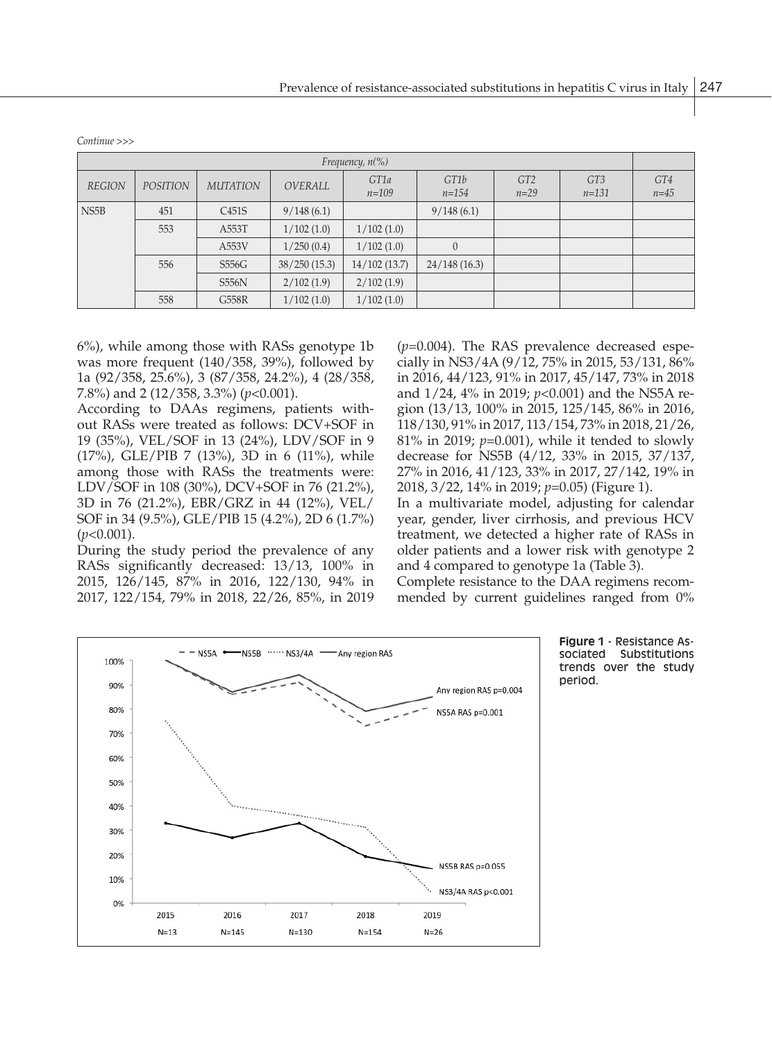| Frequency, $n\llap/$ |                 |                    |              |                   |                   |                           |                  |               |
|----------------------|-----------------|--------------------|--------------|-------------------|-------------------|---------------------------|------------------|---------------|
| <b>REGION</b>        | <b>POSITION</b> | <b>MUTATION</b>    | OVERALL      | GT1a<br>$n = 109$ | GT1b<br>$n = 154$ | GT <sub>2</sub><br>$n=29$ | GT3<br>$n = 131$ | GT4<br>$n=45$ |
| NS <sub>5</sub> B    | 451             | C <sub>451</sub> S | 9/148(6.1)   |                   | 9/148(6.1)        |                           |                  |               |
|                      | 553             | A553T              | 1/102(1.0)   | 1/102(1.0)        |                   |                           |                  |               |
|                      |                 | A553V              | 1/250(0.4)   | 1/102(1.0)        | $\overline{0}$    |                           |                  |               |
|                      | 556             | S556G              | 38/250(15.3) | 14/102(13.7)      | 24/148(16.3)      |                           |                  |               |
|                      |                 | <b>S556N</b>       | 2/102(1.9)   | 2/102(1.9)        |                   |                           |                  |               |
|                      | 558             | G558R              | 1/102(1.0)   | 1/102(1.0)        |                   |                           |                  |               |

*Continue >>>*

6%), while among those with RASs genotype 1b was more frequent (140/358, 39%), followed by 1a (92/358, 25.6%), 3 (87/358, 24.2%), 4 (28/358, 7.8%) and 2 (12/358, 3.3%) (*p*<0.001).

According to DAAs regimens, patients without RASs were treated as follows: DCV+SOF in  $118/130,91\%$  in 2017, 1 19 (35%), VEL/SOF in 13 (24%), LDV/SOF in 9 (17%), GLE/PIB 7 (13%), 3D in 6 (11%), while decrease for NS5B (4) among those with RASs the treatments were: LDV/SOF in 108 (30%), DCV+SOF in 76 (21.2%), 3D in 76 (21.2%), EBR/GRZ in 44 (12%), VEL/ In a multivariate mo SOF in 34 (9.5%), GLE/PIB 15 (4.2%), 2D 6 (1.7%) (*p*<0.001).  $(p<0.001)$ .  $(p<0.001)$ 

During the study period the prevalence of any RASs significantly decreased: 13/13, 100% in 2015, 126/145, 87% in 2016, 122/130, 94% in 2017, 122/154, 79% in 2018, 22/26, 85%, in 2019

(*p*=0.004). The RAS prevalence decreased especially in NS3/4A (9/12, 75% in 2015, 53/131, 86% in 2016, 44/123, 91% in 2017, 45/147, 73% in 2018 and 1/24, 4% in 2019; *p*<0.001) and the NS5A region (13/13, 100% in 2015, 125/145, 86% in 2016, 118/130, 91% in 2017, 113/154, 73% in 2018, 21/26, 81% in 2019; *p*=0.001), while it tended to slowly decrease for NS5B (4/12, 33% in 2015, 37/137, 27% in 2016, 41/123, 33% in 2017, 27/142, 19% in 2018, 3/22, 14% in 2019; *p*=0.05) (Figure 1). In a multivariate model, adjusting for calendar year, gender, liver cirrhosis, and previous HCV

older patients and a lower risk with genotype 2 and 4 compared to genotype 1a (Table 3).

Complete resistance to the DAA regimens recommended by current guidelines ranged from 0%



**Figure 1** - Resistance Associated Substitutions trends over the study period.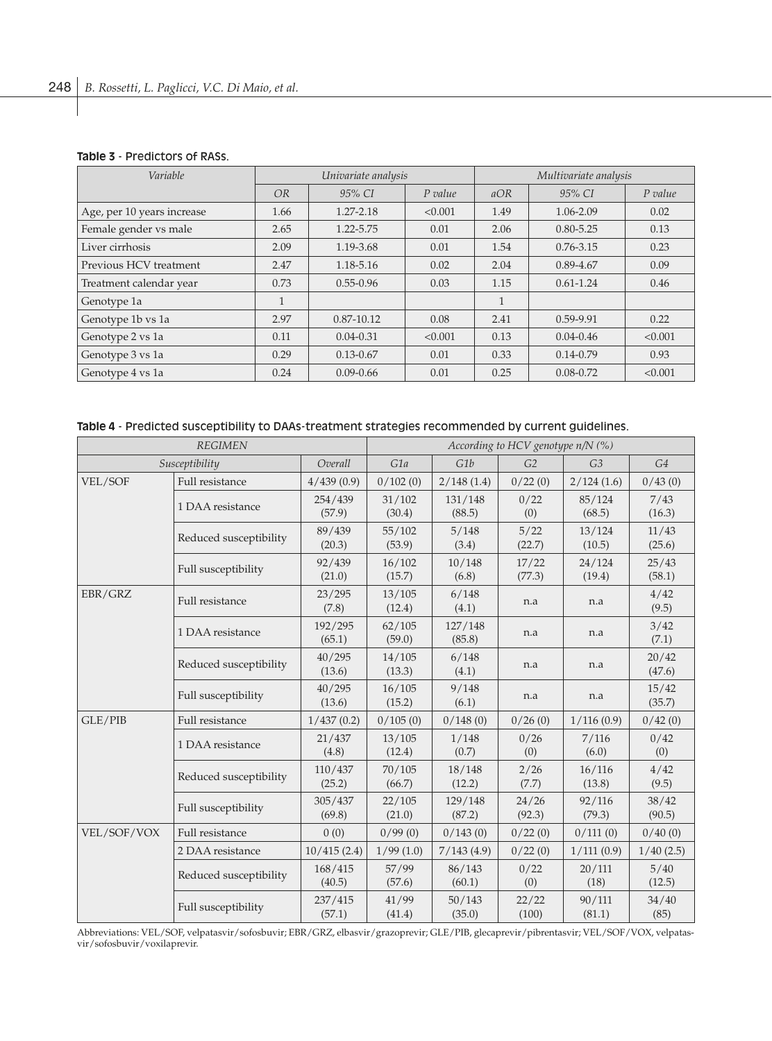### **Table 3** - Predictors of RASs.

| Variable                   | Univariate analysis |                |           | Multivariate analysis |               |           |  |
|----------------------------|---------------------|----------------|-----------|-----------------------|---------------|-----------|--|
|                            | <b>OR</b>           | 95% CI         | $P$ value | aOR                   | 95% CI        | $P$ value |  |
| Age, per 10 years increase | 1.66                | 1.27-2.18      | < 0.001   | 1.49                  | 1.06-2.09     | 0.02      |  |
| Female gender vs male      | 2.65                | 1.22-5.75      | 0.01      | 2.06                  | $0.80 - 5.25$ | 0.13      |  |
| Liver cirrhosis            | 2.09                | 1.19-3.68      | 0.01      | 1.54                  | $0.76 - 3.15$ | 0.23      |  |
| Previous HCV treatment     | 2.47                | 1.18-5.16      | 0.02      | 2.04                  | $0.89 - 4.67$ | 0.09      |  |
| Treatment calendar year    | 0.73                | $0.55 - 0.96$  | 0.03      | 1.15                  | $0.61 - 1.24$ | 0.46      |  |
| Genotype 1a                |                     |                |           | $\mathbf{1}$          |               |           |  |
| Genotype 1b vs 1a          | 2.97                | $0.87 - 10.12$ | 0.08      | 2.41                  | 0.59-9.91     | 0.22      |  |
| Genotype 2 vs 1a           | 0.11                | $0.04 - 0.31$  | < 0.001   | 0.13                  | $0.04 - 0.46$ | < 0.001   |  |
| Genotype 3 vs 1a           | 0.29                | $0.13 - 0.67$  | 0.01      | 0.33                  | $0.14 - 0.79$ | 0.93      |  |
| Genotype 4 vs 1a           | 0.24                | $0.09 - 0.66$  | 0.01      | 0.25                  | $0.08 - 0.72$ | < 0.001   |  |

# **Table 4** - Predicted susceptibility to DAAs-treatment strategies recommended by current guidelines.

|             | <b>REGIMEN</b>         | According to HCV genotype $n/N$ (%) |                                    |                   |                 |                  |                 |
|-------------|------------------------|-------------------------------------|------------------------------------|-------------------|-----------------|------------------|-----------------|
|             | Susceptibility         | Overall                             | G1b<br>G2<br>G1a<br>G <sub>3</sub> |                   |                 |                  |                 |
| VEL/SOF     | Full resistance        | 4/439(0.9)                          | 0/102(0)                           | 2/148(1.4)        | 0/22(0)         | 2/124(1.6)       | 0/43(0)         |
|             | 1 DAA resistance       | 254/439<br>(57.9)                   | 31/102<br>(30.4)                   | 131/148<br>(88.5) | 0/22<br>(0)     | 85/124<br>(68.5) | 7/43<br>(16.3)  |
|             | Reduced susceptibility | 89/439<br>(20.3)                    | 55/102<br>(53.9)                   | 5/148<br>(3.4)    | 5/22<br>(22.7)  | 13/124<br>(10.5) | 11/43<br>(25.6) |
|             | Full susceptibility    | 92/439<br>(21.0)                    | 16/102<br>(15.7)                   | 10/148<br>(6.8)   | 17/22<br>(77.3) | 24/124<br>(19.4) | 25/43<br>(58.1) |
| EBR/GRZ     | Full resistance        | 23/295<br>(7.8)                     | 13/105<br>(12.4)                   | 6/148<br>(4.1)    | n.a             | n.a              | 4/42<br>(9.5)   |
|             | 1 DAA resistance       | 192/295<br>(65.1)                   | 62/105<br>(59.0)                   | 127/148<br>(85.8) | n.a             | n.a              | 3/42<br>(7.1)   |
|             | Reduced susceptibility | 40/295<br>(13.6)                    | 14/105<br>(13.3)                   | 6/148<br>(4.1)    | n.a             | n.a              | 20/42<br>(47.6) |
|             | Full susceptibility    | 40/295<br>(13.6)                    | 16/105<br>(15.2)                   | 9/148<br>(6.1)    | n.a             | n.a              | 15/42<br>(35.7) |
| GLE/PIB     | Full resistance        | 1/437(0.2)                          | 0/105(0)                           | 0/148(0)          | 0/26(0)         | 1/116(0.9)       | 0/42(0)         |
|             | 1 DAA resistance       | 21/437<br>(4.8)                     | 13/105<br>(12.4)                   | 1/148<br>(0.7)    | 0/26<br>(0)     | 7/116<br>(6.0)   | 0/42<br>(0)     |
|             | Reduced susceptibility | 110/437<br>(25.2)                   | 70/105<br>(66.7)                   | 18/148<br>(12.2)  | 2/26<br>(7.7)   | 16/116<br>(13.8) | 4/42<br>(9.5)   |
|             | Full susceptibility    | 305/437<br>(69.8)                   | 22/105<br>(21.0)                   | 129/148<br>(87.2) | 24/26<br>(92.3) | 92/116<br>(79.3) | 38/42<br>(90.5) |
| VEL/SOF/VOX | Full resistance        | 0(0)                                | 0/99(0)                            | 0/143(0)          | 0/22(0)         | 0/111(0)         | 0/40(0)         |
|             | 2 DAA resistance       | 10/415(2.4)                         | 1/99(1.0)                          | 7/143(4.9)        | 0/22(0)         | 1/111(0.9)       | 1/40(2.5)       |
|             | Reduced susceptibility | 168/415<br>(40.5)                   | 57/99<br>(57.6)                    | 86/143<br>(60.1)  | 0/22<br>(0)     | 20/111<br>(18)   | 5/40<br>(12.5)  |
|             | Full susceptibility    | 237/415<br>(57.1)                   | 41/99<br>(41.4)                    | 50/143<br>(35.0)  | 22/22<br>(100)  | 90/111<br>(81.1) | 34/40<br>(85)   |

Abbreviations: VEL/SOF, velpatasvir/sofosbuvir; EBR/GRZ, elbasvir/grazoprevir; GLE/PIB, glecaprevir/pibrentasvir; VEL/SOF/VOX, velpatasvir/sofosbuvir/voxilaprevir.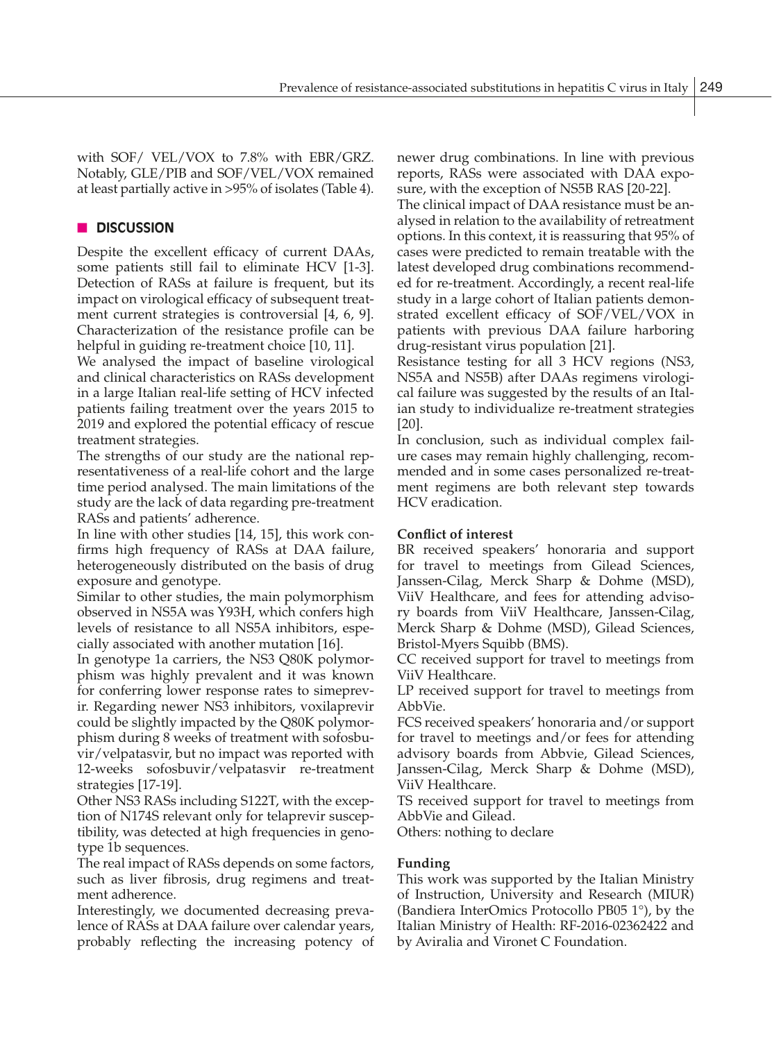with SOF/ VEL/VOX to 7.8% with EBR/GRZ. Notably, GLE/PIB and SOF/VEL/VOX remained at least partially active in >95% of isolates (Table 4).

# n **DISCUSSION**

Despite the excellent efficacy of current DAAs, some patients still fail to eliminate HCV [1-3]. Detection of RASs at failure is frequent, but its impact on virological efficacy of subsequent treatment current strategies is controversial [4, 6, 9]. Characterization of the resistance profile can be helpful in guiding re-treatment choice [10, 11].

We analysed the impact of baseline virological and clinical characteristics on RASs development in a large Italian real-life setting of HCV infected patients failing treatment over the years 2015 to 2019 and explored the potential efficacy of rescue treatment strategies.

The strengths of our study are the national representativeness of a real-life cohort and the large time period analysed. The main limitations of the study are the lack of data regarding pre-treatment RASs and patients' adherence.

In line with other studies [14, 15], this work confirms high frequency of RASs at DAA failure, heterogeneously distributed on the basis of drug exposure and genotype.

Similar to other studies, the main polymorphism observed in NS5A was Y93H, which confers high levels of resistance to all NS5A inhibitors, especially associated with another mutation [16].

In genotype 1a carriers, the NS3 Q80K polymorphism was highly prevalent and it was known for conferring lower response rates to simeprevir. Regarding newer NS3 inhibitors, voxilaprevir could be slightly impacted by the Q80K polymorphism during 8 weeks of treatment with sofosbuvir/velpatasvir, but no impact was reported with 12-weeks sofosbuvir/velpatasvir re-treatment strategies [17-19].

Other NS3 RASs including S122T, with the exception of N174S relevant only for telaprevir susceptibility, was detected at high frequencies in genotype 1b sequences.

The real impact of RASs depends on some factors, such as liver fibrosis, drug regimens and treatment adherence.

Interestingly, we documented decreasing prevalence of RASs at DAA failure over calendar years, probably reflecting the increasing potency of newer drug combinations. In line with previous reports, RASs were associated with DAA exposure, with the exception of NS5B RAS [20-22].

The clinical impact of DAA resistance must be analysed in relation to the availability of retreatment options. In this context, it is reassuring that 95% of cases were predicted to remain treatable with the latest developed drug combinations recommended for re-treatment. Accordingly, a recent real-life study in a large cohort of Italian patients demonstrated excellent efficacy of SOF/VEL/VOX in patients with previous DAA failure harboring drug-resistant virus population [21].

Resistance testing for all 3 HCV regions (NS3, NS5A and NS5B) after DAAs regimens virological failure was suggested by the results of an Italian study to individualize re-treatment strategies [20].

In conclusion, such as individual complex failure cases may remain highly challenging, recommended and in some cases personalized re-treatment regimens are both relevant step towards HCV eradication.

## **Conflict of interest**

BR received speakers' honoraria and support for travel to meetings from Gilead Sciences, Janssen-Cilag, Merck Sharp & Dohme (MSD), ViiV Healthcare, and fees for attending advisory boards from ViiV Healthcare, Janssen-Cilag, Merck Sharp & Dohme (MSD), Gilead Sciences, Bristol-Myers Squibb (BMS).

CC received support for travel to meetings from ViiV Healthcare.

LP received support for travel to meetings from AbbVie.

FCS received speakers' honoraria and/or support for travel to meetings and/or fees for attending advisory boards from Abbvie, Gilead Sciences, Janssen-Cilag, Merck Sharp & Dohme (MSD), ViiV Healthcare.

TS received support for travel to meetings from AbbVie and Gilead.

Others: nothing to declare

## **Funding**

This work was supported by the Italian Ministry of Instruction, University and Research (MIUR) (Bandiera InterOmics Protocollo PB05 1°), by the Italian Ministry of Health: RF-2016-02362422 and by Aviralia and Vironet C Foundation.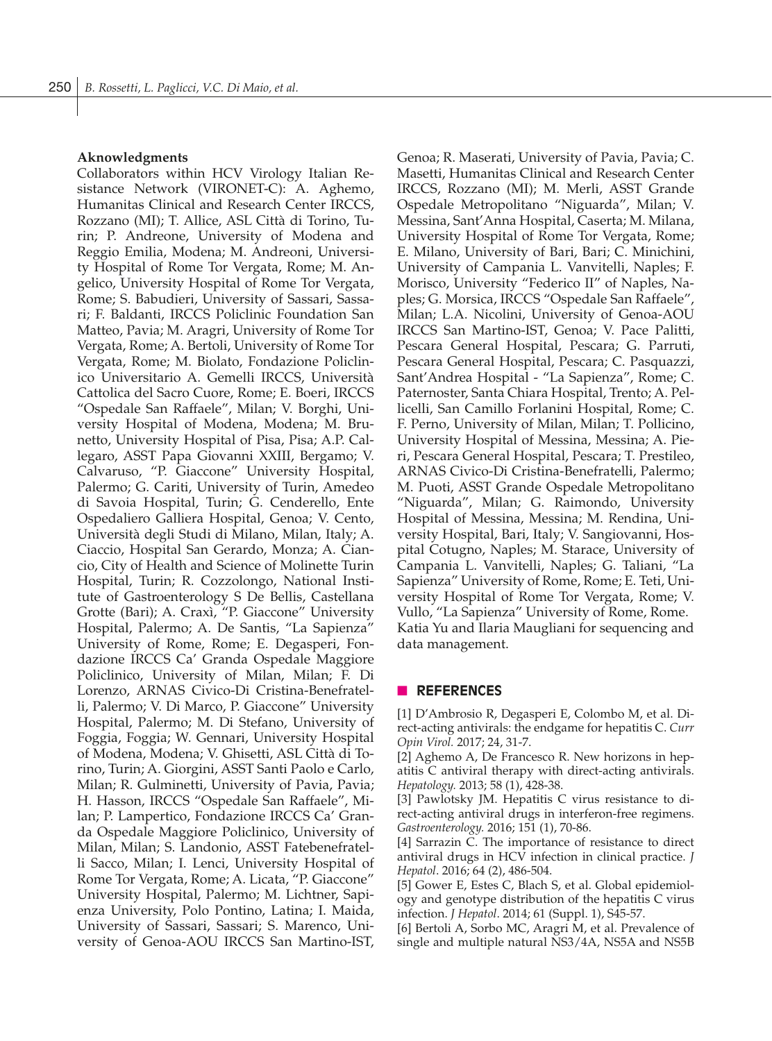#### **Aknowledgments**

Collaborators within HCV Virology Italian Resistance Network (VIRONET-C): A. Aghemo, Humanitas Clinical and Research Center IRCCS, Rozzano (MI); T. Allice, ASL Città di Torino, Turin; P. Andreone, University of Modena and Reggio Emilia, Modena; M. Andreoni, University Hospital of Rome Tor Vergata, Rome; M. Angelico, University Hospital of Rome Tor Vergata, Rome; S. Babudieri, University of Sassari, Sassari; F. Baldanti, IRCCS Policlinic Foundation San Matteo, Pavia; M. Aragri, University of Rome Tor Vergata, Rome; A. Bertoli, University of Rome Tor Vergata, Rome; M. Biolato, Fondazione Policlinico Universitario A. Gemelli IRCCS, Università Cattolica del Sacro Cuore, Rome; E. Boeri, IRCCS "Ospedale San Raffaele", Milan; V. Borghi, University Hospital of Modena, Modena; M. Brunetto, University Hospital of Pisa, Pisa; A.P. Callegaro, ASST Papa Giovanni XXIII, Bergamo; V. Calvaruso, "P. Giaccone" University Hospital, Palermo; G. Cariti, University of Turin, Amedeo di Savoia Hospital, Turin; G. Cenderello, Ente Ospedaliero Galliera Hospital, Genoa; V. Cento, Università degli Studi di Milano, Milan, Italy; A. Ciaccio, Hospital San Gerardo, Monza; A. Ciancio, City of Health and Science of Molinette Turin Hospital, Turin; R. Cozzolongo, National Institute of Gastroenterology S De Bellis, Castellana Grotte (Bari); A. Craxì, "P. Giaccone" University Hospital, Palermo; A. De Santis, "La Sapienza" University of Rome, Rome; E. Degasperi, Fondazione IRCCS Ca' Granda Ospedale Maggiore Policlinico, University of Milan, Milan; F. Di Lorenzo, ARNAS Civico-Di Cristina-Benefratelli, Palermo; V. Di Marco, P. Giaccone" University Hospital, Palermo; M. Di Stefano, University of Foggia, Foggia; W. Gennari, University Hospital of Modena, Modena; V. Ghisetti, ASL Città di Torino, Turin; A. Giorgini, ASST Santi Paolo e Carlo, Milan; R. Gulminetti, University of Pavia, Pavia; H. Hasson, IRCCS "Ospedale San Raffaele", Milan; P. Lampertico, Fondazione IRCCS Ca' Granda Ospedale Maggiore Policlinico, University of Milan, Milan; S. Landonio, ASST Fatebenefratelli Sacco, Milan; I. Lenci, University Hospital of Rome Tor Vergata, Rome; A. Licata, "P. Giaccone" University Hospital, Palermo; M. Lichtner, Sapienza University, Polo Pontino, Latina; I. Maida, University of Sassari, Sassari; S. Marenco, University of Genoa-AOU IRCCS San Martino-IST, Genoa; R. Maserati, University of Pavia, Pavia; C. Masetti, Humanitas Clinical and Research Center IRCCS, Rozzano (MI); M. Merli, ASST Grande Ospedale Metropolitano "Niguarda", Milan; V. Messina, Sant'Anna Hospital, Caserta; M. Milana, University Hospital of Rome Tor Vergata, Rome; E. Milano, University of Bari, Bari; C. Minichini, University of Campania L. Vanvitelli, Naples; F. Morisco, University "Federico II" of Naples, Naples; G. Morsica, IRCCS "Ospedale San Raffaele", Milan; L.A. Nicolini, University of Genoa-AOU IRCCS San Martino-IST, Genoa; V. Pace Palitti, Pescara General Hospital, Pescara; G. Parruti, Pescara General Hospital, Pescara; C. Pasquazzi, Sant'Andrea Hospital - "La Sapienza", Rome; C. Paternoster, Santa Chiara Hospital, Trento; A. Pellicelli, San Camillo Forlanini Hospital, Rome; C. F. Perno, University of Milan, Milan; T. Pollicino, University Hospital of Messina, Messina; A. Pieri, Pescara General Hospital, Pescara; T. Prestileo, ARNAS Civico-Di Cristina-Benefratelli, Palermo; M. Puoti, ASST Grande Ospedale Metropolitano "Niguarda", Milan; G. Raimondo, University Hospital of Messina, Messina; M. Rendina, University Hospital, Bari, Italy; V. Sangiovanni, Hospital Cotugno, Naples; M. Starace, University of Campania L. Vanvitelli, Naples; G. Taliani, "La Sapienza" University of Rome, Rome; E. Teti, University Hospital of Rome Tor Vergata, Rome; V. Vullo, "La Sapienza" University of Rome, Rome. Katia Yu and Ilaria Maugliani for sequencing and data management.

## n **REFERENCES**

[1] D'Ambrosio R, Degasperi E, Colombo M, et al. Direct-acting antivirals: the endgame for hepatitis C. *Curr Opin Virol.* 2017; 24, 31-7.

[2] Aghemo A, De Francesco R. New horizons in hepatitis C antiviral therapy with direct-acting antivirals. *Hepatology.* 2013; 58 (1), 428-38.

[3] Pawlotsky JM. Hepatitis C virus resistance to direct-acting antiviral drugs in interferon-free regimens. *Gastroenterology.* 2016; 151 (1), 70-86.

[4] Sarrazin C. The importance of resistance to direct antiviral drugs in HCV infection in clinical practice. *J Hepatol*. 2016; 64 (2), 486-504.

[5] Gower E, Estes C, Blach S, et al. Global epidemiology and genotype distribution of the hepatitis C virus infection. *J Hepatol*. 2014; 61 (Suppl. 1), S45-57.

[6] Bertoli A, Sorbo MC, Aragri M, et al. Prevalence of single and multiple natural NS3/4A, NS5A and NS5B